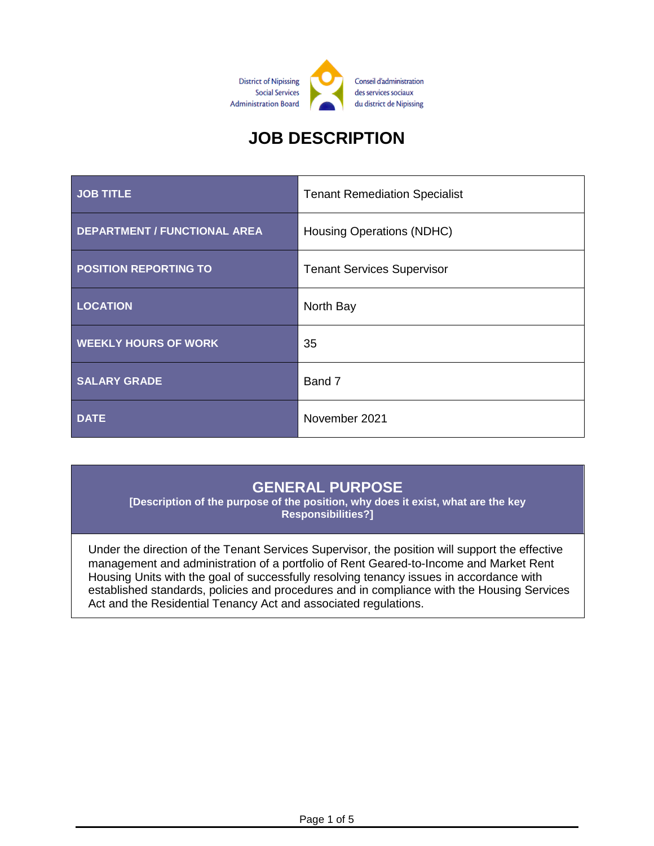

# **JOB DESCRIPTION**

| <b>JOB TITLE</b>                    | <b>Tenant Remediation Specialist</b> |
|-------------------------------------|--------------------------------------|
| <b>DEPARTMENT / FUNCTIONAL AREA</b> | Housing Operations (NDHC)            |
| <b>POSITION REPORTING TO</b>        | <b>Tenant Services Supervisor</b>    |
| <b>LOCATION</b>                     | North Bay                            |
| <b>WEEKLY HOURS OF WORK</b>         | 35                                   |
| <b>SALARY GRADE</b>                 | Band 7                               |
| <b>DATE</b>                         | November 2021                        |

#### **GENERAL PURPOSE**

**[Description of the purpose of the position, why does it exist, what are the key Responsibilities?]**

Under the direction of the Tenant Services Supervisor, the position will support the effective management and administration of a portfolio of Rent Geared-to-Income and Market Rent Housing Units with the goal of successfully resolving tenancy issues in accordance with established standards, policies and procedures and in compliance with the Housing Services Act and the Residential Tenancy Act and associated regulations.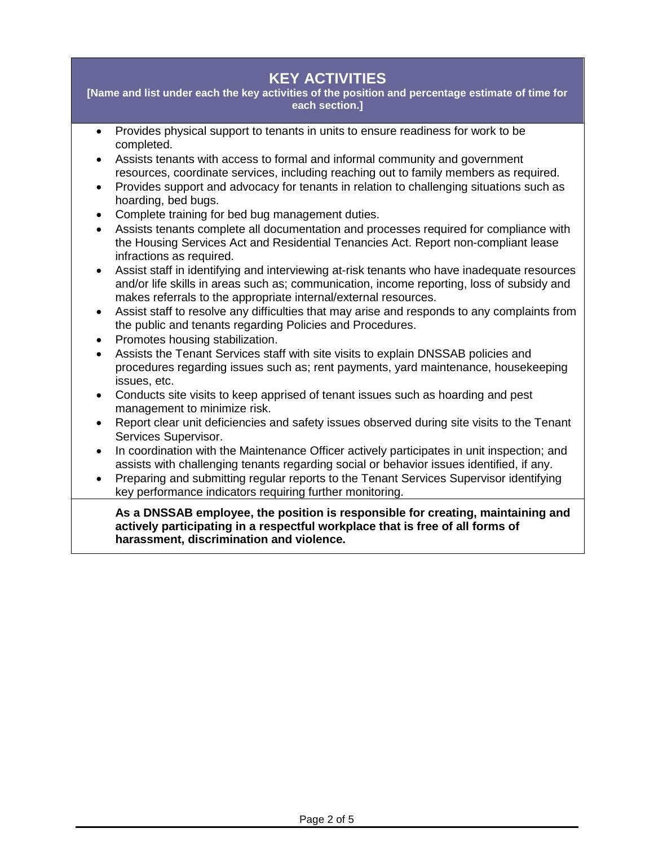## **KEY ACTIVITIES**

**[Name and list under each the key activities of the position and percentage estimate of time for each section.]**

- Provides physical support to tenants in units to ensure readiness for work to be completed.
- Assists tenants with access to formal and informal community and government resources, coordinate services, including reaching out to family members as required.
- Provides support and advocacy for tenants in relation to challenging situations such as hoarding, bed bugs.
- Complete training for bed bug management duties.
- Assists tenants complete all documentation and processes required for compliance with the Housing Services Act and Residential Tenancies Act. Report non-compliant lease infractions as required.
- Assist staff in identifying and interviewing at-risk tenants who have inadequate resources and/or life skills in areas such as; communication, income reporting, loss of subsidy and makes referrals to the appropriate internal/external resources.
- Assist staff to resolve any difficulties that may arise and responds to any complaints from the public and tenants regarding Policies and Procedures.
- Promotes housing stabilization.
- Assists the Tenant Services staff with site visits to explain DNSSAB policies and procedures regarding issues such as; rent payments, yard maintenance, housekeeping issues, etc.
- Conducts site visits to keep apprised of tenant issues such as hoarding and pest management to minimize risk.
- Report clear unit deficiencies and safety issues observed during site visits to the Tenant Services Supervisor.
- In coordination with the Maintenance Officer actively participates in unit inspection; and assists with challenging tenants regarding social or behavior issues identified, if any.
- Preparing and submitting regular reports to the Tenant Services Supervisor identifying key performance indicators requiring further monitoring.

**As a DNSSAB employee, the position is responsible for creating, maintaining and actively participating in a respectful workplace that is free of all forms of harassment, discrimination and violence.**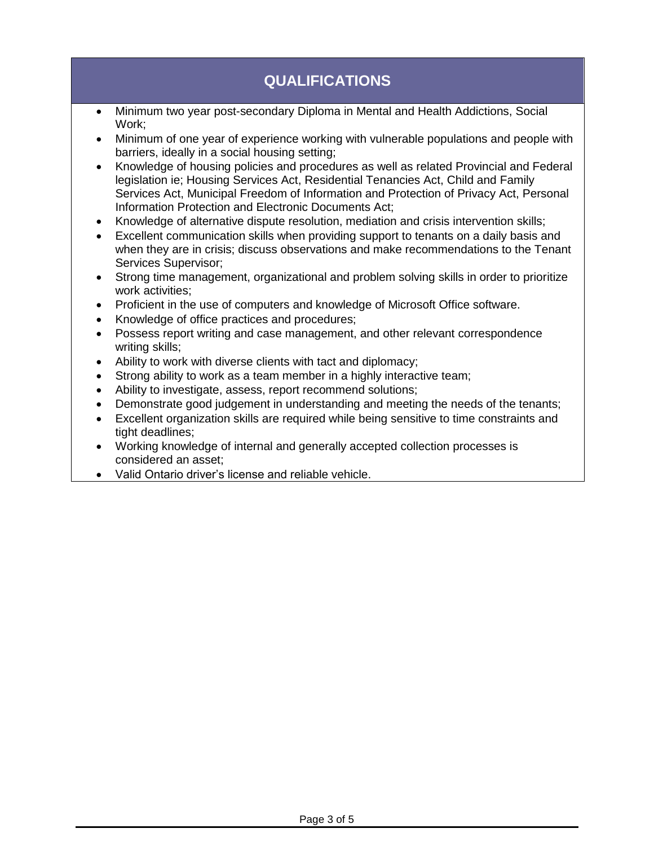## **QUALIFICATIONS**

- Minimum two year post-secondary Diploma in Mental and Health Addictions, Social Work;
- Minimum of one year of experience working with vulnerable populations and people with barriers, ideally in a social housing setting;
- Knowledge of housing policies and procedures as well as related Provincial and Federal legislation ie; Housing Services Act, Residential Tenancies Act, Child and Family Services Act, Municipal Freedom of Information and Protection of Privacy Act, Personal Information Protection and Electronic Documents Act;
- Knowledge of alternative dispute resolution, mediation and crisis intervention skills;
- Excellent communication skills when providing support to tenants on a daily basis and when they are in crisis; discuss observations and make recommendations to the Tenant Services Supervisor;
- Strong time management, organizational and problem solving skills in order to prioritize work activities;
- Proficient in the use of computers and knowledge of Microsoft Office software.
- Knowledge of office practices and procedures;
- Possess report writing and case management, and other relevant correspondence writing skills;
- Ability to work with diverse clients with tact and diplomacy;
- Strong ability to work as a team member in a highly interactive team;
- Ability to investigate, assess, report recommend solutions;
- Demonstrate good judgement in understanding and meeting the needs of the tenants;
- Excellent organization skills are required while being sensitive to time constraints and tight deadlines;
- Working knowledge of internal and generally accepted collection processes is considered an asset;
- Valid Ontario driver's license and reliable vehicle.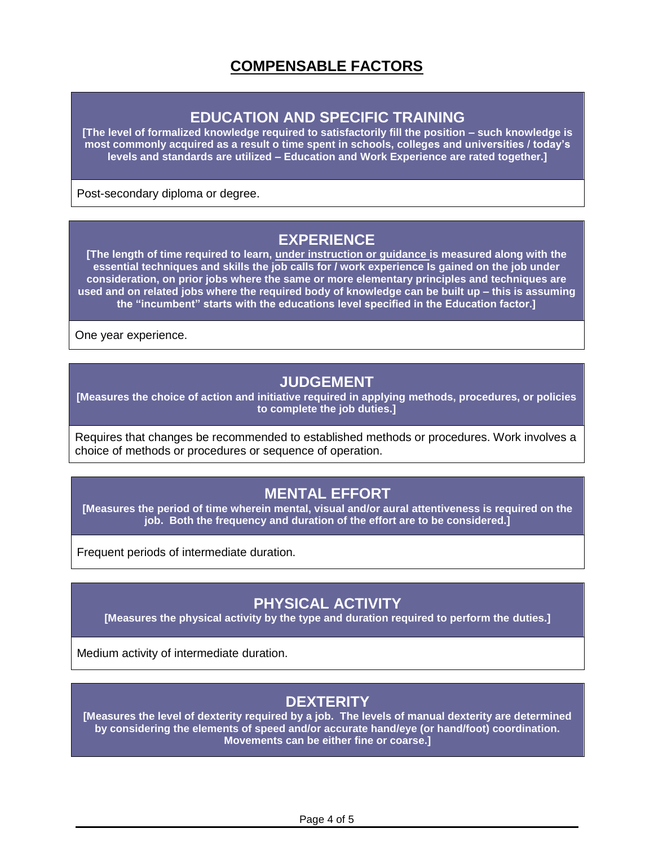## **COMPENSABLE FACTORS**

#### **EDUCATION AND SPECIFIC TRAINING**

**[The level of formalized knowledge required to satisfactorily fill the position – such knowledge is most commonly acquired as a result o time spent in schools, colleges and universities / today's levels and standards are utilized – Education and Work Experience are rated together.]**

Post-secondary diploma or degree.

#### **EXPERIENCE**

**[The length of time required to learn, under instruction or guidance is measured along with the essential techniques and skills the job calls for / work experience Is gained on the job under consideration, on prior jobs where the same or more elementary principles and techniques are used and on related jobs where the required body of knowledge can be built up – this is assuming the "incumbent" starts with the educations level specified in the Education factor.]**

One year experience.

#### **JUDGEMENT**

**[Measures the choice of action and initiative required in applying methods, procedures, or policies to complete the job duties.]**

Requires that changes be recommended to established methods or procedures. Work involves a choice of methods or procedures or sequence of operation.

## **MENTAL EFFORT**

**[Measures the period of time wherein mental, visual and/or aural attentiveness is required on the job. Both the frequency and duration of the effort are to be considered.]**

Frequent periods of intermediate duration.

## **PHYSICAL ACTIVITY**

**[Measures the physical activity by the type and duration required to perform the duties.]**

Medium activity of intermediate duration.

## **DEXTERITY**

**[Measures the level of dexterity required by a job. The levels of manual dexterity are determined by considering the elements of speed and/or accurate hand/eye (or hand/foot) coordination. Movements can be either fine or coarse.]**